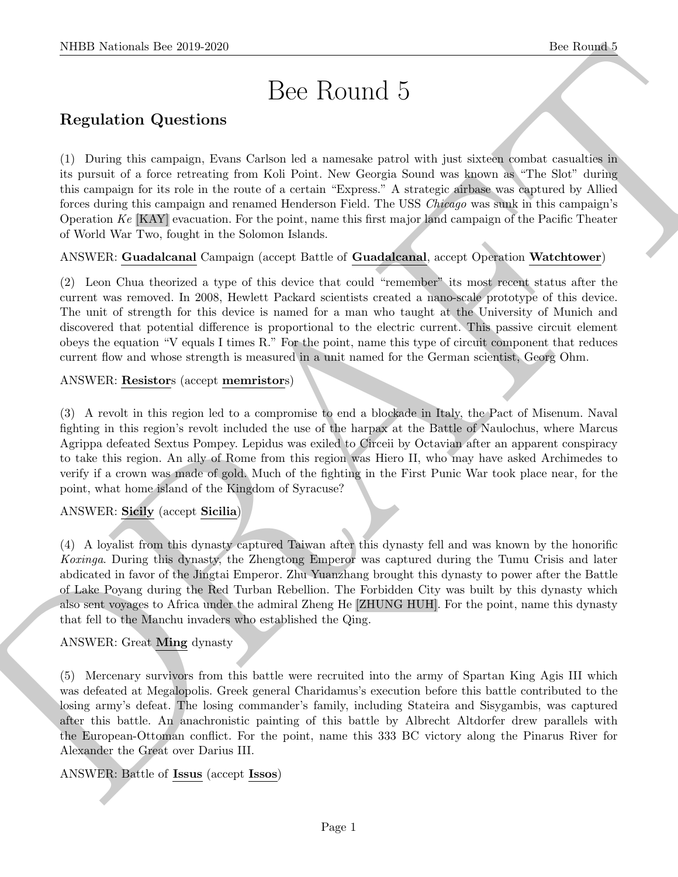# Bee Round 5

# Regulation Questions

(1) During this campaign, Evans Carlson led a namesake patrol with just sixteen combat casualties in its pursuit of a force retreating from Koli Point. New Georgia Sound was known as "The Slot" during this campaign for its role in the route of a certain "Express." A strategic airbase was captured by Allied forces during this campaign and renamed Henderson Field. The USS Chicago was sunk in this campaign's Operation Ke [KAY] evacuation. For the point, name this first major land campaign of the Pacific Theater of World War Two, fought in the Solomon Islands.

ANSWER: Guadalcanal Campaign (accept Battle of Guadalcanal, accept Operation Watchtower)

(2) Leon Chua theorized a type of this device that could "remember" its most recent status after the current was removed. In 2008, Hewlett Packard scientists created a nano-scale prototype of this device. The unit of strength for this device is named for a man who taught at the University of Munich and discovered that potential difference is proportional to the electric current. This passive circuit element obeys the equation "V equals I times R." For the point, name this type of circuit component that reduces current flow and whose strength is measured in a unit named for the German scientist, Georg Ohm.

#### ANSWER: Resistors (accept memristors)

(3) A revolt in this region led to a compromise to end a blockade in Italy, the Pact of Misenum. Naval fighting in this region's revolt included the use of the harpax at the Battle of Naulochus, where Marcus Agrippa defeated Sextus Pompey. Lepidus was exiled to Circeii by Octavian after an apparent conspiracy to take this region. An ally of Rome from this region was Hiero II, who may have asked Archimedes to verify if a crown was made of gold. Much of the fighting in the First Punic War took place near, for the point, what home island of the Kingdom of Syracuse?

# ANSWER: Sicily (accept Sicilia)

NIBB Noticeals line 2019.269.<br>
Dece Routine The Constant Constant Constant Constant Constant Constant Constant Constant Constant Constant Constant Constant Constant Constant Constant Constant Constant Constant Constant Co (4) A loyalist from this dynasty captured Taiwan after this dynasty fell and was known by the honorific Koxinga. During this dynasty, the Zhengtong Emperor was captured during the Tumu Crisis and later abdicated in favor of the Jingtai Emperor. Zhu Yuanzhang brought this dynasty to power after the Battle of Lake Poyang during the Red Turban Rebellion. The Forbidden City was built by this dynasty which also sent voyages to Africa under the admiral Zheng He [ZHUNG HUH]. For the point, name this dynasty that fell to the Manchu invaders who established the Qing.

#### ANSWER: Great Ming dynasty

(5) Mercenary survivors from this battle were recruited into the army of Spartan King Agis III which was defeated at Megalopolis. Greek general Charidamus's execution before this battle contributed to the losing army's defeat. The losing commander's family, including Stateira and Sisygambis, was captured after this battle. An anachronistic painting of this battle by Albrecht Altdorfer drew parallels with the European-Ottoman conflict. For the point, name this 333 BC victory along the Pinarus River for Alexander the Great over Darius III.

# ANSWER: Battle of Issus (accept Issos)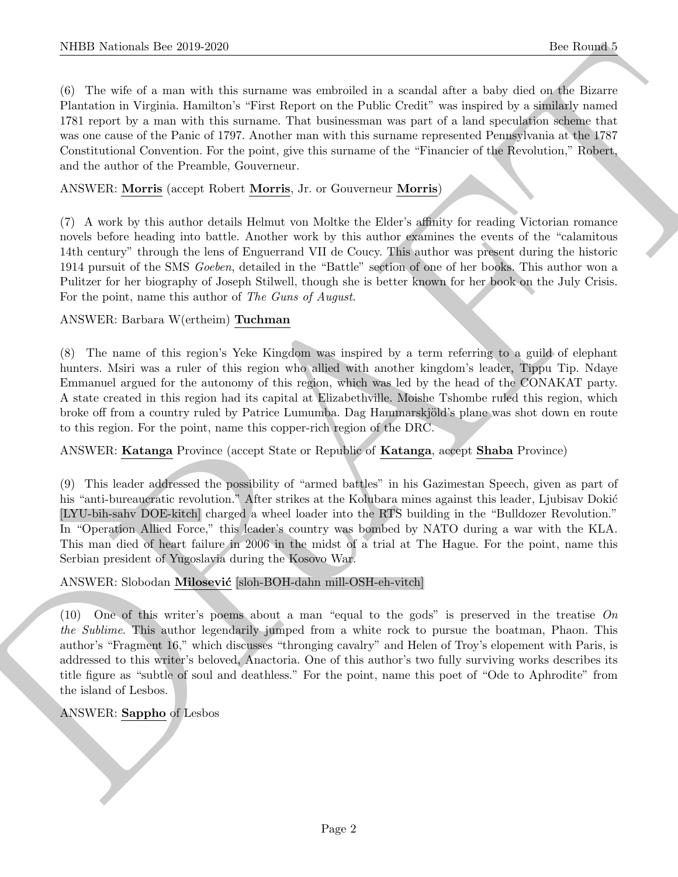NIBB Noticeals line 2019.229<br>
(i) this subset of a statistic strength is a smalled in a smalled size is label shown in the subset of a statistic<br>
(ii) the subset of a statistic strength is a smalled statistic strength of (6) The wife of a man with this surname was embroiled in a scandal after a baby died on the Bizarre Plantation in Virginia. Hamilton's "First Report on the Public Credit" was inspired by a similarly named 1781 report by a man with this surname. That businessman was part of a land speculation scheme that was one cause of the Panic of 1797. Another man with this surname represented Pennsylvania at the 1787 Constitutional Convention. For the point, give this surname of the "Financier of the Revolution," Robert, and the author of the Preamble, Gouverneur.

#### ANSWER: Morris (accept Robert Morris, Jr. or Gouverneur Morris)

(7) A work by this author details Helmut von Moltke the Elder's affinity for reading Victorian romance novels before heading into battle. Another work by this author examines the events of the "calamitous 14th century" through the lens of Enguerrand VII de Coucy. This author was present during the historic 1914 pursuit of the SMS Goeben, detailed in the "Battle" section of one of her books. This author won a Pulitzer for her biography of Joseph Stilwell, though she is better known for her book on the July Crisis. For the point, name this author of The Guns of August.

#### ANSWER: Barbara W(ertheim) Tuchman

(8) The name of this region's Yeke Kingdom was inspired by a term referring to a guild of elephant hunters. Msiri was a ruler of this region who allied with another kingdom's leader, Tippu Tip. Ndaye Emmanuel argued for the autonomy of this region, which was led by the head of the CONAKAT party. A state created in this region had its capital at Elizabethville. Moishe Tshombe ruled this region, which broke off from a country ruled by Patrice Lumumba. Dag Hammarskjöld's plane was shot down en route to this region. For the point, name this copper-rich region of the DRC.

#### ANSWER: Katanga Province (accept State or Republic of Katanga, accept Shaba Province)

(9) This leader addressed the possibility of "armed battles" in his Gazimestan Speech, given as part of his "anti-bureaucratic revolution." After strikes at the Kolubara mines against this leader, Ljubisav Dokić [LYU-bih-sahv DOE-kitch] charged a wheel loader into the RTS building in the "Bulldozer Revolution." In "Operation Allied Force," this leader's country was bombed by NATO during a war with the KLA. This man died of heart failure in 2006 in the midst of a trial at The Hague. For the point, name this Serbian president of Yugoslavia during the Kosovo War.

# ANSWER: Slobodan Milosević [sloh-BOH-dahn mill-OSH-eh-vitch]

(10) One of this writer's poems about a man "equal to the gods" is preserved in the treatise On the Sublime. This author legendarily jumped from a white rock to pursue the boatman, Phaon. This author's "Fragment 16," which discusses "thronging cavalry" and Helen of Troy's elopement with Paris, is addressed to this writer's beloved, Anactoria. One of this author's two fully surviving works describes its title figure as "subtle of soul and deathless." For the point, name this poet of "Ode to Aphrodite" from the island of Lesbos.

# ANSWER: Sappho of Lesbos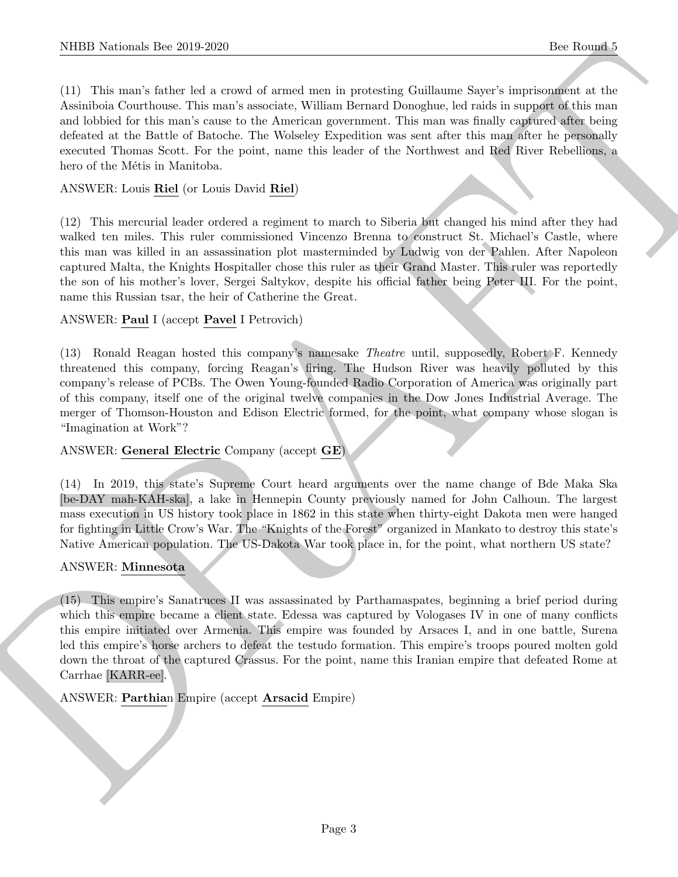(11) This man's father led a crowd of armed men in protesting Guillaume Sayer's imprisonment at the Assiniboia Courthouse. This man's associate, William Bernard Donoghue, led raids in support of this man and lobbied for this man's cause to the American government. This man was finally captured after being defeated at the Battle of Batoche. The Wolseley Expedition was sent after this man after he personally executed Thomas Scott. For the point, name this leader of the Northwest and Red River Rebellions, a hero of the Métis in Manitoba.

### ANSWER: Louis Riel (or Louis David Riel)

(12) This mercurial leader ordered a regiment to march to Siberia but changed his mind after they had walked ten miles. This ruler commissioned Vincenzo Brenna to construct St. Michael's Castle, where this man was killed in an assassination plot masterminded by Ludwig von der Pahlen. After Napoleon captured Malta, the Knights Hospitaller chose this ruler as their Grand Master. This ruler was reportedly the son of his mother's lover, Sergei Saltykov, despite his official father being Peter III. For the point, name this Russian tsar, the heir of Catherine the Great.

#### ANSWER: Paul I (accept Pavel I Petrovich)

(13) Ronald Reagan hosted this company's namesake Theatre until, supposedly, Robert F. Kennedy threatened this company, forcing Reagan's firing. The Hudson River was heavily polluted by this company's release of PCBs. The Owen Young-founded Radio Corporation of America was originally part of this company, itself one of the original twelve companies in the Dow Jones Industrial Average. The merger of Thomson-Houston and Edison Electric formed, for the point, what company whose slogan is "Imagination at Work"?

#### ANSWER: General Electric Company (accept GE)

(14) In 2019, this state's Supreme Court heard arguments over the name change of Bde Maka Ska [be-DAY mah-KAH-ska], a lake in Hennepin County previously named for John Calhoun. The largest mass execution in US history took place in 1862 in this state when thirty-eight Dakota men were hanged for fighting in Little Crow's War. The "Knights of the Forest" organized in Mankato to destroy this state's Native American population. The US-Dakota War took place in, for the point, what northern US state?

#### ANSWER: Minnesota

NIBB Noticeals line 200 200<br>
(1) This mass factor of some definite in material colliders where a new interest of the system of the system of the system of the system of the system of the system of the system of the system (15) This empire's Sanatruces II was assassinated by Parthamaspates, beginning a brief period during which this empire became a client state. Edessa was captured by Vologases IV in one of many conflicts this empire initiated over Armenia. This empire was founded by Arsaces I, and in one battle, Surena led this empire's horse archers to defeat the testudo formation. This empire's troops poured molten gold down the throat of the captured Crassus. For the point, name this Iranian empire that defeated Rome at Carrhae [KARR-ee].

ANSWER: Parthian Empire (accept Arsacid Empire)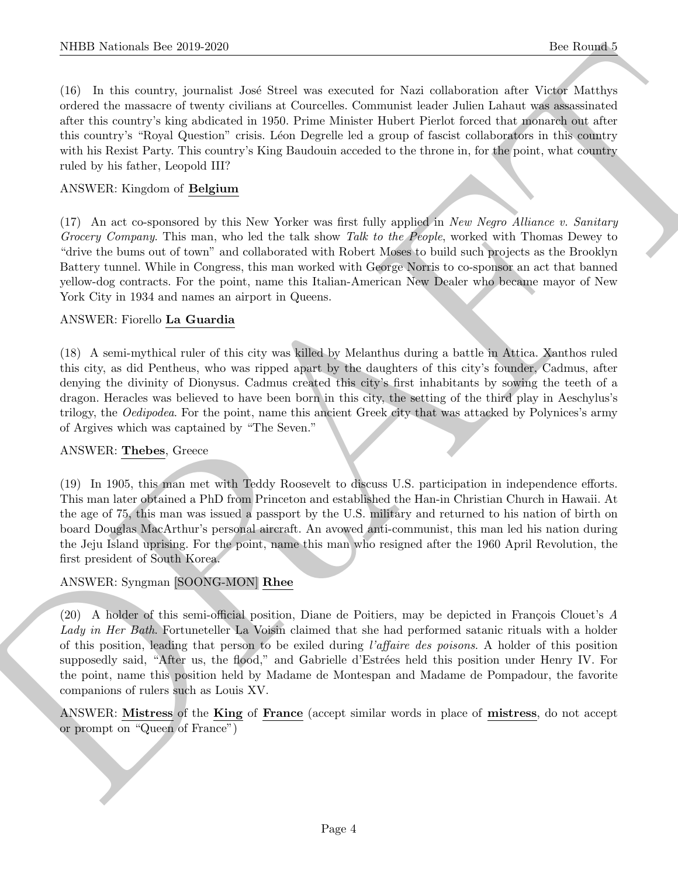(16) In this country, journalist Jos´e Streel was executed for Nazi collaboration after Victor Matthys ordered the massacre of twenty civilians at Courcelles. Communist leader Julien Lahaut was assassinated after this country's king abdicated in 1950. Prime Minister Hubert Pierlot forced that monarch out after this country's "Royal Question" crisis. L´eon Degrelle led a group of fascist collaborators in this country with his Rexist Party. This country's King Baudouin acceded to the throne in, for the point, what country ruled by his father, Leopold III?

#### ANSWER: Kingdom of Belgium

(17) An act co-sponsored by this New Yorker was first fully applied in New Negro Alliance v. Sanitary Grocery Company. This man, who led the talk show Talk to the People, worked with Thomas Dewey to "drive the bums out of town" and collaborated with Robert Moses to build such projects as the Brooklyn Battery tunnel. While in Congress, this man worked with George Norris to co-sponsor an act that banned yellow-dog contracts. For the point, name this Italian-American New Dealer who became mayor of New York City in 1934 and names an airport in Queens.

#### ANSWER: Fiorello La Guardia

(18) A semi-mythical ruler of this city was killed by Melanthus during a battle in Attica. Xanthos ruled this city, as did Pentheus, who was ripped apart by the daughters of this city's founder, Cadmus, after denying the divinity of Dionysus. Cadmus created this city's first inhabitants by sowing the teeth of a dragon. Heracles was believed to have been born in this city, the setting of the third play in Aeschylus's trilogy, the *Oedipodea*. For the point, name this ancient Greek city that was attacked by Polynices's army of Argives which was captained by "The Seven."

#### ANSWER: Thebes, Greece

(19) In 1905, this man met with Teddy Roosevelt to discuss U.S. participation in independence efforts. This man later obtained a PhD from Princeton and established the Han-in Christian Church in Hawaii. At the age of 75, this man was issued a passport by the U.S. military and returned to his nation of birth on board Douglas MacArthur's personal aircraft. An avowed anti-communist, this man led his nation during the Jeju Island uprising. For the point, name this man who resigned after the 1960 April Revolution, the first president of South Korea.

#### ANSWER: Syngman [SOONG-MON] Rhee

NIBB Noticeals line 2019.269<br>
The Rounds Town (and Statistics executed for Nad collections and the Rounds of Nad collections and the Nad conditions of the Nad collections of the Nad collections of the Nad collections of t  $(20)$  A holder of this semi-official position, Diane de Poitiers, may be depicted in François Clouet's A Lady in Her Bath. Fortuneteller La Voisin claimed that she had performed satanic rituals with a holder of this position, leading that person to be exiled during l'affaire des poisons. A holder of this position supposedly said, "After us, the flood," and Gabrielle d'Estrées held this position under Henry IV. For the point, name this position held by Madame de Montespan and Madame de Pompadour, the favorite companions of rulers such as Louis XV.

ANSWER: Mistress of the King of France (accept similar words in place of mistress, do not accept or prompt on "Queen of France")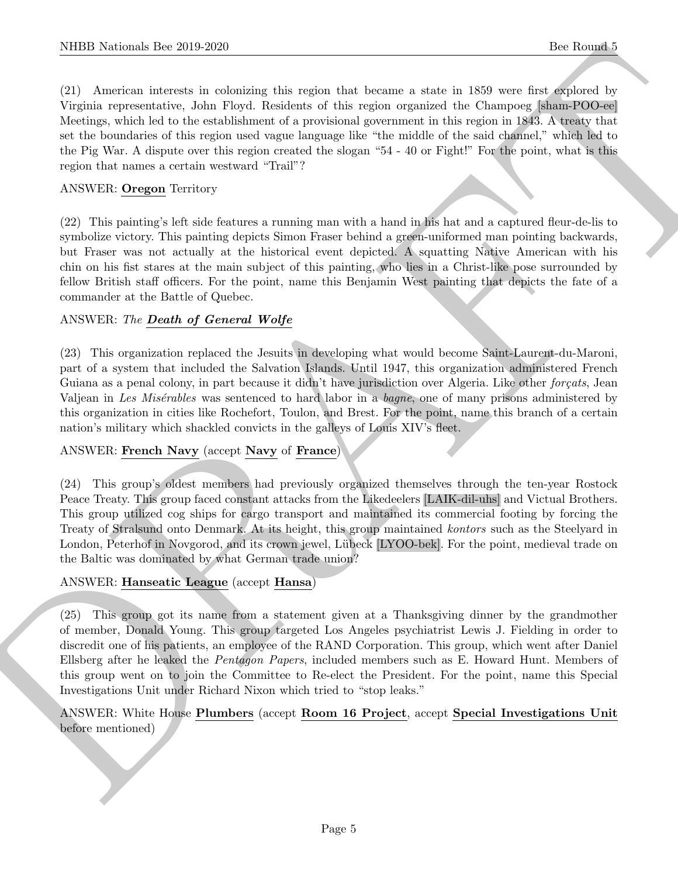(21) American interests in colonizing this region that became a state in 1859 were first explored by Virginia representative, John Floyd. Residents of this region organized the Champoeg [sham-POO-ee] Meetings, which led to the establishment of a provisional government in this region in 1843. A treaty that set the boundaries of this region used vague language like "the middle of the said channel," which led to the Pig War. A dispute over this region created the slogan "54 - 40 or Fight!" For the point, what is this region that names a certain westward "Trail"?

#### ANSWER: Oregon Territory

(22) This painting's left side features a running man with a hand in his hat and a captured fleur-de-lis to symbolize victory. This painting depicts Simon Fraser behind a green-uniformed man pointing backwards, but Fraser was not actually at the historical event depicted. A squatting Native American with his chin on his fist stares at the main subject of this painting, who lies in a Christ-like pose surrounded by fellow British staff officers. For the point, name this Benjamin West painting that depicts the fate of a commander at the Battle of Quebec.

#### ANSWER: The Death of General Wolfe

NIBER Notionals line 2019-2020.<br>
22.11 Anomaton is a consistent of required that because a state in N20 were a compact to the four-<br>
22.12 Anomaton is consistent of the region of this region is a compact the Chemper state (23) This organization replaced the Jesuits in developing what would become Saint-Laurent-du-Maroni, part of a system that included the Salvation Islands. Until 1947, this organization administered French Guiana as a penal colony, in part because it didn't have jurisdiction over Algeria. Like other forçats, Jean Valjean in Les Misérables was sentenced to hard labor in a bagne, one of many prisons administered by this organization in cities like Rochefort, Toulon, and Brest. For the point, name this branch of a certain nation's military which shackled convicts in the galleys of Louis XIV's fleet.

#### ANSWER: French Navy (accept Navy of France)

(24) This group's oldest members had previously organized themselves through the ten-year Rostock Peace Treaty. This group faced constant attacks from the Likedeelers [LAIK-dil-uhs] and Victual Brothers. This group utilized cog ships for cargo transport and maintained its commercial footing by forcing the Treaty of Stralsund onto Denmark. At its height, this group maintained kontors such as the Steelyard in London, Peterhof in Novgorod, and its crown jewel, Lübeck [LYOO-bek]. For the point, medieval trade on the Baltic was dominated by what German trade union?

#### ANSWER: Hanseatic League (accept Hansa)

(25) This group got its name from a statement given at a Thanksgiving dinner by the grandmother of member, Donald Young. This group targeted Los Angeles psychiatrist Lewis J. Fielding in order to discredit one of his patients, an employee of the RAND Corporation. This group, which went after Daniel Ellsberg after he leaked the Pentagon Papers, included members such as E. Howard Hunt. Members of this group went on to join the Committee to Re-elect the President. For the point, name this Special Investigations Unit under Richard Nixon which tried to "stop leaks."

#### ANSWER: White House Plumbers (accept Room 16 Project, accept Special Investigations Unit before mentioned)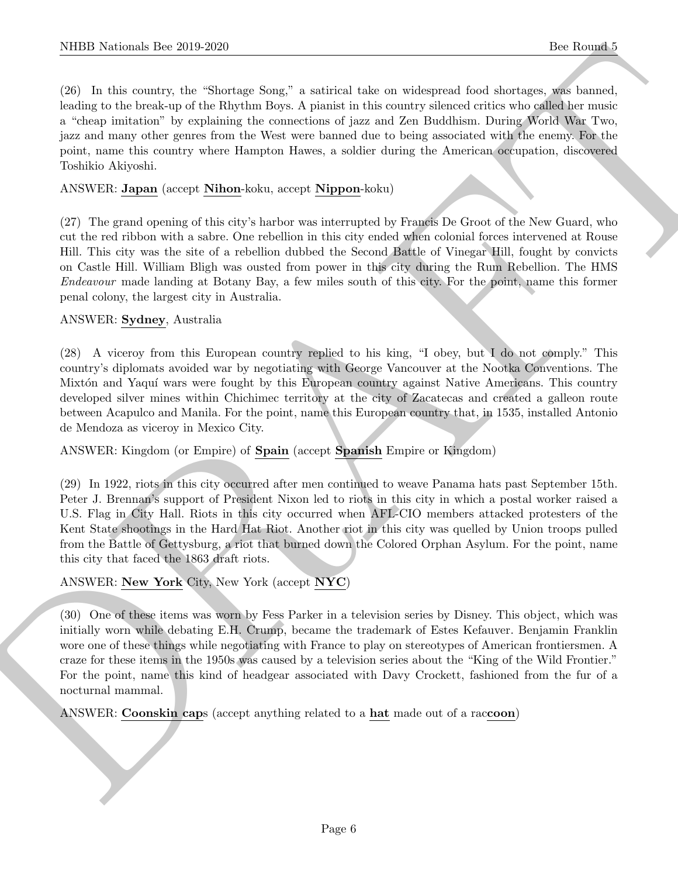NIBB Notionals line 2019.269<br>
(B) In this counter, the Shotster Source Source is actived to be one subserved fored shotster, and formed to<br>
Foreign the best state to Shotster Source is actived to be a considered by the st (26) In this country, the "Shortage Song," a satirical take on widespread food shortages, was banned, leading to the break-up of the Rhythm Boys. A pianist in this country silenced critics who called her music a "cheap imitation" by explaining the connections of jazz and Zen Buddhism. During World War Two, jazz and many other genres from the West were banned due to being associated with the enemy. For the point, name this country where Hampton Hawes, a soldier during the American occupation, discovered Toshikio Akiyoshi.

#### ANSWER: Japan (accept Nihon-koku, accept Nippon-koku)

(27) The grand opening of this city's harbor was interrupted by Francis De Groot of the New Guard, who cut the red ribbon with a sabre. One rebellion in this city ended when colonial forces intervened at Rouse Hill. This city was the site of a rebellion dubbed the Second Battle of Vinegar Hill, fought by convicts on Castle Hill. William Bligh was ousted from power in this city during the Rum Rebellion. The HMS Endeavour made landing at Botany Bay, a few miles south of this city. For the point, name this former penal colony, the largest city in Australia.

#### ANSWER: Sydney, Australia

(28) A viceroy from this European country replied to his king, "I obey, but I do not comply." This country's diplomats avoided war by negotiating with George Vancouver at the Nootka Conventions. The Mixtón and Yaquí wars were fought by this European country against Native Americans. This country developed silver mines within Chichimec territory at the city of Zacatecas and created a galleon route between Acapulco and Manila. For the point, name this European country that, in 1535, installed Antonio de Mendoza as viceroy in Mexico City.

ANSWER: Kingdom (or Empire) of Spain (accept Spanish Empire or Kingdom)

(29) In 1922, riots in this city occurred after men continued to weave Panama hats past September 15th. Peter J. Brennan's support of President Nixon led to riots in this city in which a postal worker raised a U.S. Flag in City Hall. Riots in this city occurred when AFL-CIO members attacked protesters of the Kent State shootings in the Hard Hat Riot. Another riot in this city was quelled by Union troops pulled from the Battle of Gettysburg, a riot that burned down the Colored Orphan Asylum. For the point, name this city that faced the 1863 draft riots.

ANSWER: New York City, New York (accept NYC)

(30) One of these items was worn by Fess Parker in a television series by Disney. This object, which was initially worn while debating E.H. Crump, became the trademark of Estes Kefauver. Benjamin Franklin wore one of these things while negotiating with France to play on stereotypes of American frontiersmen. A craze for these items in the 1950s was caused by a television series about the "King of the Wild Frontier." For the point, name this kind of headgear associated with Davy Crockett, fashioned from the fur of a nocturnal mammal.

ANSWER: Coonskin caps (accept anything related to a hat made out of a raccoon)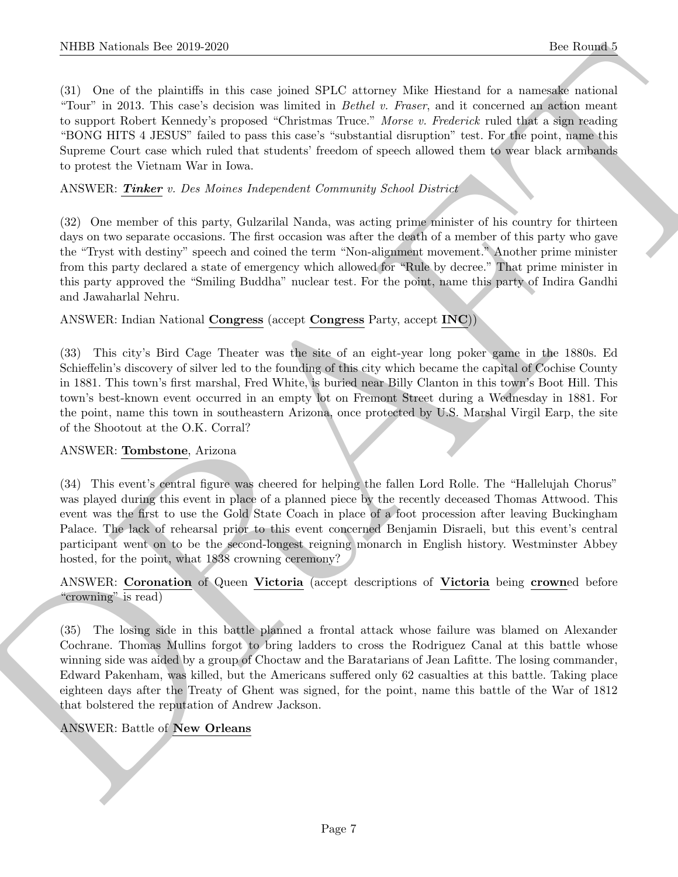(31) One of the plaintiffs in this case joined SPLC attorney Mike Hiestand for a namesake national "Tour" in 2013. This case's decision was limited in Bethel v. Fraser, and it concerned an action meant to support Robert Kennedy's proposed "Christmas Truce." Morse v. Frederick ruled that a sign reading "BONG HITS 4 JESUS" failed to pass this case's "substantial disruption" test. For the point, name this Supreme Court case which ruled that students' freedom of speech allowed them to wear black armbands to protest the Vietnam War in Iowa.

#### ANSWER: Tinker v. Des Moines Independent Community School District

(32) One member of this party, Gulzarilal Nanda, was acting prime minister of his country for thirteen days on two separate occasions. The first occasion was after the death of a member of this party who gave the "Tryst with destiny" speech and coined the term "Non-alignment movement." Another prime minister from this party declared a state of emergency which allowed for "Rule by decree." That prime minister in this party approved the "Smiling Buddha" nuclear test. For the point, name this party of Indira Gandhi and Jawaharlal Nehru.

#### ANSWER: Indian National Congress (accept Congress Party, accept INC))

(33) This city's Bird Cage Theater was the site of an eight-year long poker game in the 1880s. Ed Schieffelin's discovery of silver led to the founding of this city which became the capital of Cochise County in 1881. This town's first marshal, Fred White, is buried near Billy Clanton in this town's Boot Hill. This town's best-known event occurred in an empty lot on Fremont Street during a Wednesday in 1881. For the point, name this town in southeastern Arizona, once protected by U.S. Marshal Virgil Earp, the site of the Shootout at the O.K. Corral?

#### ANSWER: Tombstone, Arizona

(34) This event's central figure was cheered for helping the fallen Lord Rolle. The "Hallelujah Chorus" was played during this event in place of a planned piece by the recently deceased Thomas Attwood. This event was the first to use the Gold State Coach in place of a foot procession after leaving Buckingham Palace. The lack of rehearsal prior to this event concerned Benjamin Disraeli, but this event's central participant went on to be the second-longest reigning monarch in English history. Westminster Abbey hosted, for the point, what 1838 crowning ceremony?

#### ANSWER: Coronation of Queen Victoria (accept descriptions of Victoria being crowned before "crowning" is read)

NIBB Noticeals line 2019.269<br>
(3) One of the relations in the case joined SPLC situates Mins Blueston for a Reverse of the relations of the relations of the relations of the relations of the relations of the relations of (35) The losing side in this battle planned a frontal attack whose failure was blamed on Alexander Cochrane. Thomas Mullins forgot to bring ladders to cross the Rodriguez Canal at this battle whose winning side was aided by a group of Choctaw and the Baratarians of Jean Lafitte. The losing commander, Edward Pakenham, was killed, but the Americans suffered only 62 casualties at this battle. Taking place eighteen days after the Treaty of Ghent was signed, for the point, name this battle of the War of 1812 that bolstered the reputation of Andrew Jackson.

# ANSWER: Battle of New Orleans